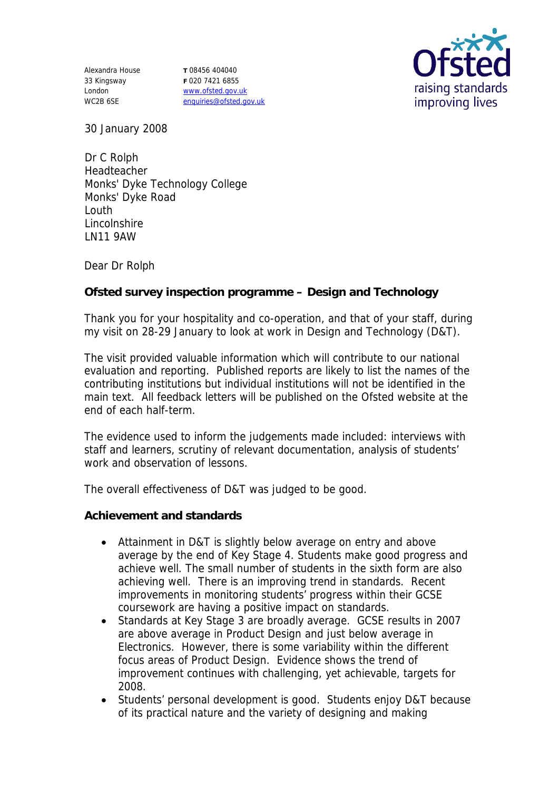Alexandra House **T** 08456 404040 33 Kingsway London WC2B 6SE

**F** 020 7421 6855 www.ofsted.gov.uk enquiries@ofsted.gov.uk



30 January 2008

Dr C Rolph Headteacher Monks' Dyke Technology College Monks' Dyke Road Louth Lincolnshire LN11 9AW

Dear Dr Rolph

**Ofsted survey inspection programme – Design and Technology**

Thank you for your hospitality and co-operation, and that of your staff, during my visit on 28-29 January to look at work in Design and Technology (D&T).

The visit provided valuable information which will contribute to our national evaluation and reporting. Published reports are likely to list the names of the contributing institutions but individual institutions will not be identified in the main text. All feedback letters will be published on the Ofsted website at the end of each half-term.

The evidence used to inform the judgements made included: interviews with staff and learners, scrutiny of relevant documentation, analysis of students' work and observation of lessons.

The overall effectiveness of D&T was judged to be good.

**Achievement and standards** 

- Attainment in D&T is slightly below average on entry and above average by the end of Key Stage 4. Students make good progress and achieve well. The small number of students in the sixth form are also achieving well. There is an improving trend in standards. Recent improvements in monitoring students' progress within their GCSE coursework are having a positive impact on standards.
- Standards at Key Stage 3 are broadly average. GCSE results in 2007 are above average in Product Design and just below average in Electronics. However, there is some variability within the different focus areas of Product Design. Evidence shows the trend of improvement continues with challenging, yet achievable, targets for 2008.
- Students' personal development is good. Students enjoy D&T because of its practical nature and the variety of designing and making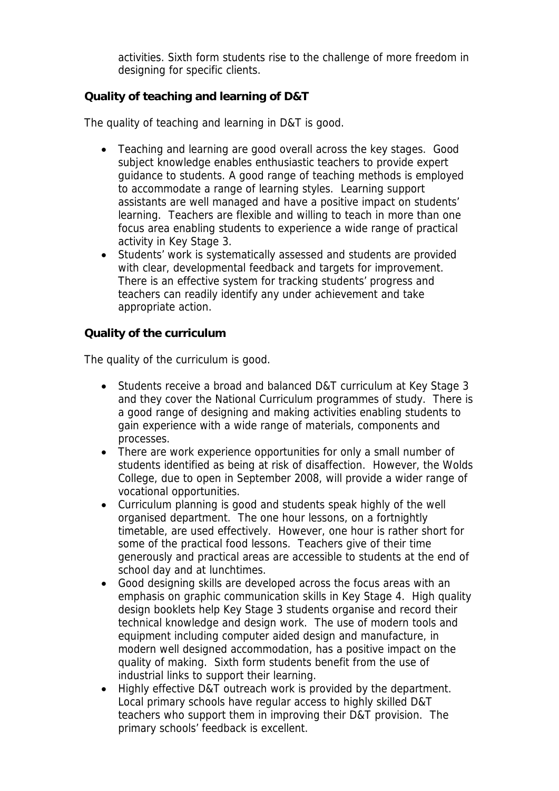activities. Sixth form students rise to the challenge of more freedom in designing for specific clients.

## **Quality of teaching and learning of D&T**

The quality of teaching and learning in D&T is good.

- Teaching and learning are good overall across the key stages. Good subject knowledge enables enthusiastic teachers to provide expert guidance to students. A good range of teaching methods is employed to accommodate a range of learning styles. Learning support assistants are well managed and have a positive impact on students' learning. Teachers are flexible and willing to teach in more than one focus area enabling students to experience a wide range of practical activity in Key Stage 3.
- Students' work is systematically assessed and students are provided with clear, developmental feedback and targets for improvement. There is an effective system for tracking students' progress and teachers can readily identify any under achievement and take appropriate action.

**Quality of the curriculum**

The quality of the curriculum is good.

- Students receive a broad and balanced D&T curriculum at Key Stage 3 and they cover the National Curriculum programmes of study. There is a good range of designing and making activities enabling students to gain experience with a wide range of materials, components and processes.
- There are work experience opportunities for only a small number of students identified as being at risk of disaffection. However, the Wolds College, due to open in September 2008, will provide a wider range of vocational opportunities.
- Curriculum planning is good and students speak highly of the well organised department. The one hour lessons, on a fortnightly timetable, are used effectively. However, one hour is rather short for some of the practical food lessons. Teachers give of their time generously and practical areas are accessible to students at the end of school day and at lunchtimes.
- Good designing skills are developed across the focus areas with an emphasis on graphic communication skills in Key Stage 4. High quality design booklets help Key Stage 3 students organise and record their technical knowledge and design work. The use of modern tools and equipment including computer aided design and manufacture, in modern well designed accommodation, has a positive impact on the quality of making. Sixth form students benefit from the use of industrial links to support their learning.
- Highly effective D&T outreach work is provided by the department. Local primary schools have regular access to highly skilled D&T teachers who support them in improving their D&T provision. The primary schools' feedback is excellent.